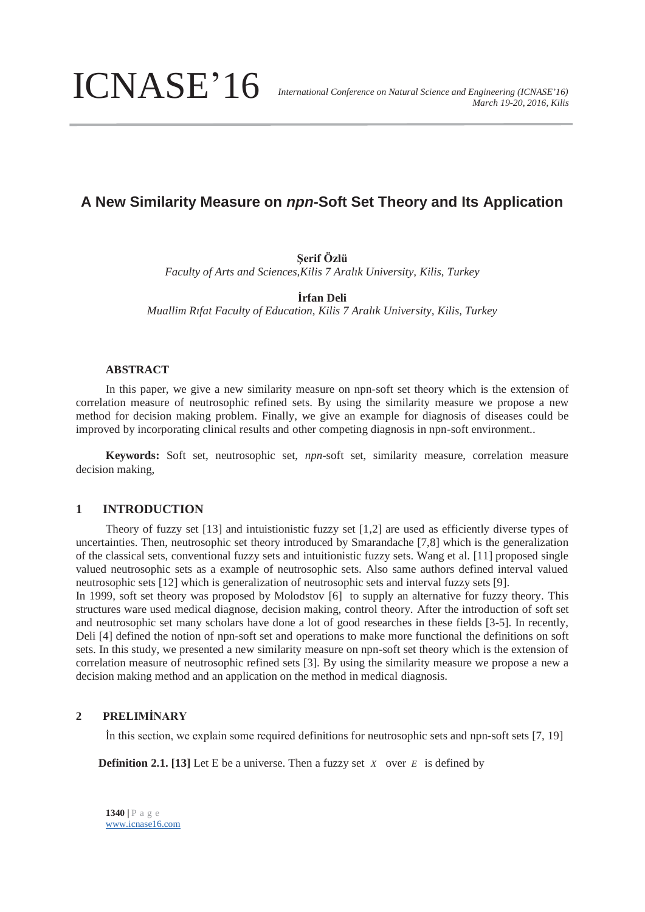ICNASE'16

# **A New Similarity Measure on** *npn***-Soft Set Theory and Its Application**

**Şerif Özlü**

*Faculty of Arts and Sciences,Kilis 7 Aralık University, Kilis, Turkey* 

**İrfan Deli** 

*Muallim Rıfat Faculty of Education, Kilis 7 Aralık University, Kilis, Turkey* 

## **ABSTRACT**

 In this paper, we give a new similarity measure on npn-soft set theory which is the extension of correlation measure of neutrosophic refined sets. By using the similarity measure we propose a new method for decision making problem. Finally, we give an example for diagnosis of diseases could be improved by incorporating clinical results and other competing diagnosis in npn-soft environment..

**Keywords:** Soft set, neutrosophic set, *npn*-soft set, similarity measure, correlation measure decision making,

## **1 INTRODUCTION**

Theory of fuzzy set [13] and intuistionistic fuzzy set [1,2] are used as efficiently diverse types of uncertainties. Then, neutrosophic set theory introduced by Smarandache [7,8] which is the generalization of the classical sets, conventional fuzzy sets and intuitionistic fuzzy sets. Wang et al. [11] proposed single valued neutrosophic sets as a example of neutrosophic sets. Also same authors defined interval valued neutrosophic sets [12] which is generalization of neutrosophic sets and interval fuzzy sets [9].

In 1999, soft set theory was proposed by Molodstov [6] to supply an alternative for fuzzy theory. This structures ware used medical diagnose, decision making, control theory. After the introduction of soft set and neutrosophic set many scholars have done a lot of good researches in these fields [3-5]. In recently, Deli [4] defined the notion of npn-soft set and operations to make more functional the definitions on soft sets. In this study, we presented a new similarity measure on npn-soft set theory which is the extension of correlation measure of neutrosophic refined sets [3]. By using the similarity measure we propose a new a decision making method and an application on the method in medical diagnosis.

# **2 PRELIMİNARY**

İn this section, we explain some required definitions for neutrosophic sets and npn-soft sets [7, 19]

**Definition 2.1.** [13] Let E be a universe. Then a fuzzy set *X* over *E* is defined by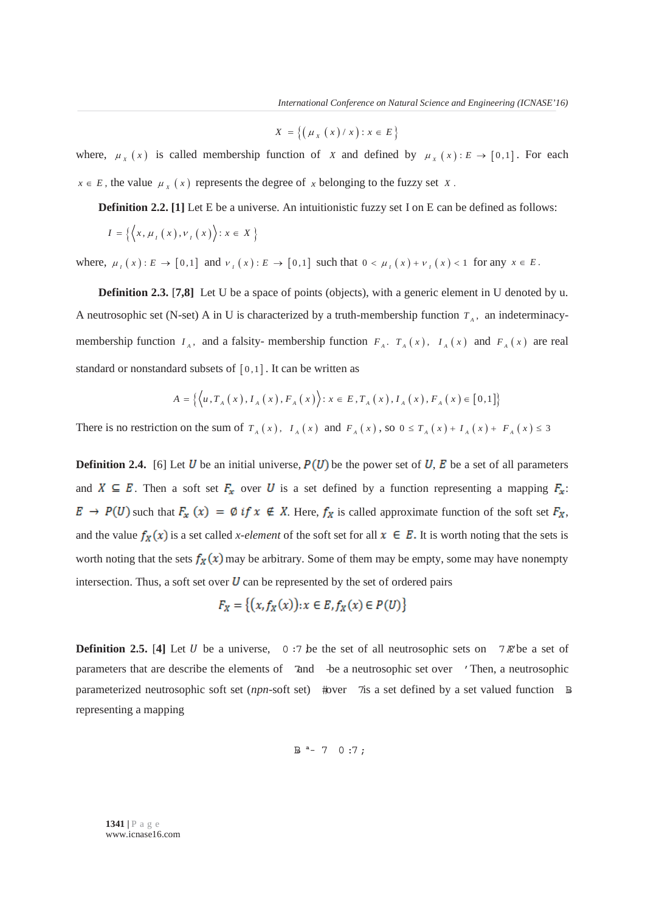$$
X = \left\{ \left( \mu_X(x) / x \right) : x \in E \right\}
$$

where,  $\mu_X(x)$  is called membership function of *X* and defined by  $\mu_X(x): E \to [0,1]$ . For each  $x \in E$ , the value  $\mu_x(x)$  represents the degree of *x* belonging to the fuzzy set *X*.

**Definition 2.2.** [1] Let E be a universe. An intuitionistic fuzzy set I on E can be defined as follows:

$$
I = \left\{ \left\langle x, \mu_I(x), \nu_I(x) \right\rangle : x \in X \right\}
$$

where,  $\mu_I(x): E \to [0,1]$  and  $\nu_I(x): E \to [0,1]$  such that  $0 \lt \mu_I(x) + \nu_I(x) \lt 1$  for any  $x \in E$ .

**Definition 2.3. [7,8]** Let U be a space of points (objects), with a generic element in U denoted by u. A neutrosophic set (N-set) A in U is characterized by a truth-membership function  $T_A$ , an indeterminacymembership function  $I_A$ , and a falsity-membership function  $F_A$ .  $T_A(x)$ ,  $I_A(x)$  and  $F_A(x)$  are real standard or nonstandard subsets of  $[0,1]$ . It can be written as

$$
A = \{ \langle u, T_A(x), I_A(x), F_A(x) \rangle : x \in E, T_A(x), I_A(x), F_A(x) \in [0,1] \}
$$

There is no restriction on the sum of  $T_A(x)$ ,  $I_A(x)$  and  $F_A(x)$ , so  $0 \le T_A(x) + I_A(x) + F_A(x) \le 3$ 

**Definition 2.4.** [6] Let U be an initial universe,  $P(U)$  be the power set of U, E be a set of all parameters and  $X \subseteq E$ . Then a soft set  $F_x$  over U is a set defined by a function representing a mapping  $F_x$ :  $E \to P(U)$  such that  $F_x(x) = \emptyset$  if  $x \notin X$ . Here,  $f_X$  is called approximate function of the soft set  $F_X$ , and the value  $f_X(x)$  is a set called *x-element* of the soft set for all  $x \in E$ . It is worth noting that the sets is worth noting that the sets  $f_X(x)$  may be arbitrary. Some of them may be empty, some may have nonempty intersection. Thus, a soft set over  $U$  can be represented by the set of ordered pairs

$$
F_X = \{ (x, f_X(x)) : x \in E, f_X(x) \in P(U) \}
$$

**Definition 2.5. [4] Let U** be a universe, 0:7 be the set of all neutrosophic sets on  $7 \mathbb{R}$  be a set of parameters that are describe the elements of 7and -be a neutrosophic set over ' Then, a neutrosophic parameterized neutrosophic soft set (*npn-*soft set) #over 7is a set defined by a set valued function B" representing a mapping

 $B^{a} - 7 0:7;$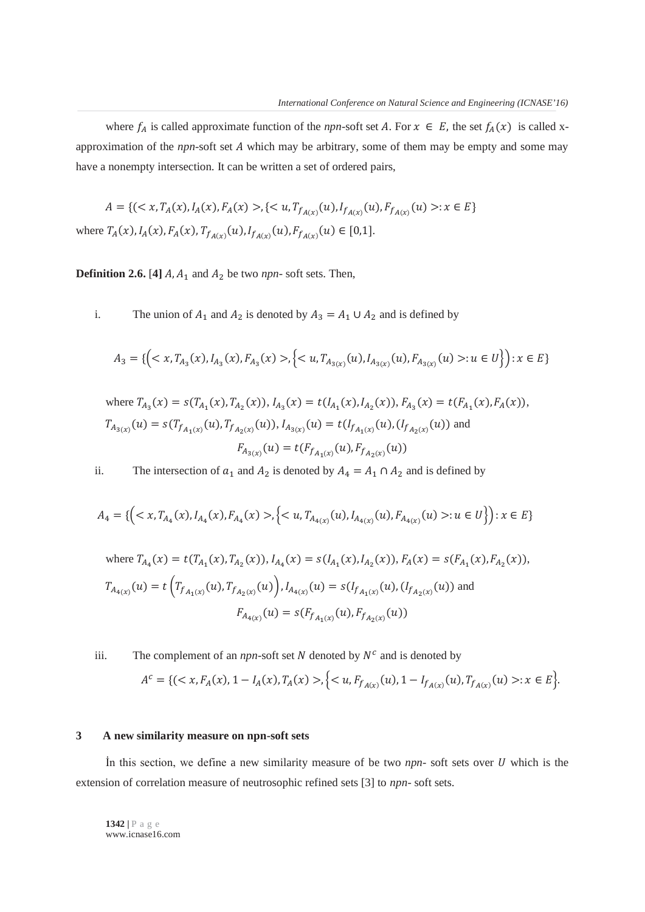where  $f_A$  is called approximate function of the *npn*-soft set A. For  $x \in E$ , the set  $f_A(x)$  is called xapproximation of the  $npn$ -soft set  $A$  which may be arbitrary, some of them may be empty and some may have a nonempty intersection. It can be written a set of ordered pairs,

 $A = \{ (\langle x, T_A(x), I_A(x), F_A(x) \rangle, \{ \langle u, T_{f_{A(x)}}(u), I_{f_{A(x)}}(u), F_{f_{A(x)}}(u) \rangle : x \in E \}$ where  $T_A(x)$ ,  $I_A(x)$ ,  $F_A(x)$ ,  $T_{f_{A(x)}}(u)$ ,  $I_{f_{A(x)}}(u)$ ,  $F_{f_{A(x)}}(u) \in [0,1]$ .

**Definition 2.6.** [4]  $A$ ,  $A_1$  and  $A_2$  be two  $npn$ - soft sets. Then,

i. The union of  $A_1$  and  $A_2$  is denoted by  $A_3 = A_1 \cup A_2$  and is defined by

$$
A_3 = \{ \left( \langle x, T_{A_3}(x), I_{A_3}(x), F_{A_3}(x) \rangle, \left\{ \langle u, T_{A_{3(x)}}(u), I_{A_{3(x)}}(u), F_{A_{3(x)}}(u) \rangle : u \in U \right\} \right) : x \in E \}
$$

where  $T_{A_3}(x) = s(T_{A_1}(x), T_{A_2}(x)), I_{A_3}(x) = t(I_{A_1}(x), I_{A_2}(x)), F_{A_3}(x) = t(F_{A_1}(x), F_A(x)),$  $T_{A_{3}(x)}(u) = s(T_{f_{A_1(x)}}(u), T_{f_{A_2(x)}}(u)), I_{A_{3}(x)}(u) = t(I_{f_{A_1(x)}}(u), (I_{f_{A_2(x)}}(u))$  and  $F_{A_{3}(x)}(u) = t(F_{f_{A_1(x)}}(u), F_{f_{A_2(x)}}(u))$ 

ii. The intersection of  $a_1$  and  $A_2$  is denoted by  $A_4 = A_1 \cap A_2$  and is defined by

$$
A_4 = \{ \left( \langle x, T_{A_4}(x), I_{A_4}(x), F_{A_4}(x) \rangle, \left\{ \langle u, T_{A_{4(x)}}(u), I_{A_{4(x)}}(u), F_{A_{4(x)}}(u) \rangle : u \in U \right\} \right) : x \in E \}
$$

where 
$$
T_{A_4}(x) = t(T_{A_1}(x), T_{A_2}(x)), I_{A_4}(x) = s(I_{A_1}(x), I_{A_2}(x)), F_A(x) = s(F_{A_1}(x), F_{A_2}(x)),
$$
  
\n $T_{A_{4(x)}}(u) = t(T_{f_{A_1(x)}}(u), T_{f_{A_2(x)}}(u)), I_{A_{4(x)}}(u) = s(I_{f_{A_1(x)}}(u), (I_{f_{A_2(x)}}(u))$  and  
\n $F_{A_{4(x)}}(u) = s(F_{f_{A_1(x)}}(u), F_{f_{A_2(x)}}(u))$ 

iii. The complement of an *npn*-soft set  $N$  denoted by  $N^c$  and is denoted by

$$
A^c = \{ (\langle x, F_A(x), 1 - I_A(x), T_A(x) \rangle, \{ \langle u, F_{f_{A(x)}}(u), 1 - I_{f_{A(x)}}(u), T_{f_{A(x)}}(u) \rangle : x \in E \} ).
$$

#### **3 A new similarity measure on npn-soft sets**

In this section, we define a new similarity measure of be two *npn*- soft sets over U which is the extension of correlation measure of neutrosophic refined sets [3] to *npn*- soft sets.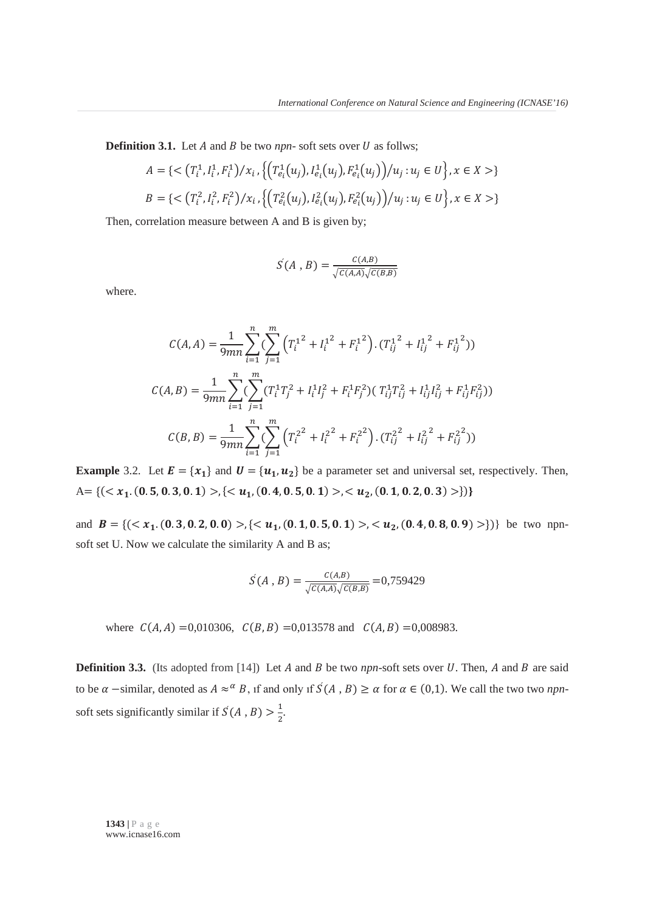**Definition 3.1.** Let  $A$  and  $B$  be two *npn*- soft sets over  $U$  as follws;

$$
A = \{ \langle \left(T_i^1, I_i^1, F_i^1\right) / x_i, \left\{ \left(T_{e_i}^1(u_j), I_{e_i}^1(u_j), F_{e_i}^1(u_j)\right) / u_j : u_j \in U \right\}, x \in X \rangle \}
$$
  

$$
B = \{ \langle \left(T_i^2, I_i^2, F_i^2\right) / x_i, \left\{ \left(T_{e_i}^2(u_j), I_{e_i}^2(u_j), F_{e_i}^2(u_j)\right) / u_j : u_j \in U \right\}, x \in X \rangle \}
$$

Then, correlation measure between A and B is given by;

$$
S(A, B) = \frac{C(A,B)}{\sqrt{C(A,A)}\sqrt{C(B,B)}}
$$

where.

$$
C(A, A) = \frac{1}{9mn} \sum_{i=1}^{n} \left( \sum_{j=1}^{m} \left( T_i^{1^2} + I_i^{1^2} + F_i^{1^2} \right) . (T_{ij}^{1^2} + I_{ij}^{1^2} + F_{ij}^{1^2}) \right)
$$
  

$$
C(A, B) = \frac{1}{9mn} \sum_{i=1}^{n} \left( \sum_{j=1}^{m} (T_i^1 T_j^2 + I_i^1 I_j^2 + F_i^1 F_j^2) (T_{ij}^1 T_{ij}^2 + I_{ij}^1 I_{ij}^2 + F_{ij}^1 F_{ij}^2) \right)
$$
  

$$
C(B, B) = \frac{1}{9mn} \sum_{i=1}^{n} \left( \sum_{j=1}^{m} \left( T_i^{2^2} + I_i^{2^2} + F_i^{2^2} \right) . (T_{ij}^{2^2} + I_{ij}^{2^2} + F_{ij}^{2^2}) \right)
$$

**Example** 3.2. Let  $\mathbf{E} = \{x_1\}$  and  $\mathbf{U} = \{u_1, u_2\}$  be a parameter set and universal set, respectively. Then,  $A = \{ ( \langle x_1, (0.5, 0.3, 0.1) \rangle, \{ \langle u_1, (0.4, 0.5, 0.1) \rangle, \langle u_2, (0.1, 0.2, 0.3) \rangle \} \}$ 

and  $B = \{ ( \langle x_1, (0.3, 0.2, 0.0) \rangle, \{ \langle u_1, (0.1, 0.5, 0.1) \rangle, \langle u_2, (0.4, 0.8, 0.9) \rangle \} \}$  be two npnsoft set U. Now we calculate the similarity A and B as;

$$
S(A, B) = \frac{C(A, B)}{\sqrt{C(A, A)}\sqrt{C(B, B)}} = 0,759429
$$

where  $C(A, A) = 0.010306$ ,  $C(B, B) = 0.013578$  and  $C(A, B) = 0.008983$ .

**Definition 3.3.** (Its adopted from [14]) Let A and B be two *npn*-soft sets over U. Then, A and B are said to be  $\alpha$  -similar, denoted as  $A \approx \alpha B$ , if and only if  $\mathcal{S}(A, B) \ge \alpha$  for  $\alpha \in (0,1)$ . We call the two two *npn*soft sets significantly similar if  $S(A, B) > \frac{1}{2}$ .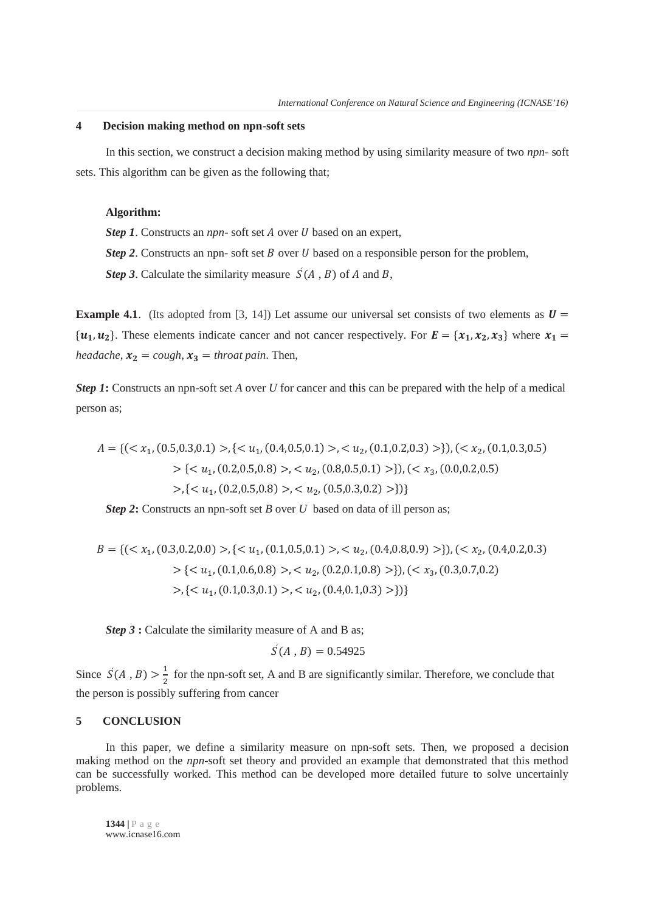## **4 Decision making method on npn-soft sets**

In this section, we construct a decision making method by using similarity measure of two *npn*- soft sets. This algorithm can be given as the following that;

#### **Algorithm:**

*Step 1*. Constructs an *npn*- soft set *A* over *U* based on an expert,

*Step 2*. Constructs an npn- soft set *B* over *U* based on a responsible person for the problem,

*Step 3*. Calculate the similarity measure  $S(A, B)$  of A and B,

**Example 4.1**. (Its adopted from [3, 14]) Let assume our universal set consists of two elements as  $U =$  $\{u_1, u_2\}$ . These elements indicate cancer and not cancer respectively. For  $\mathbf{E} = \{x_1, x_2, x_3\}$  where  $x_1 =$ *headache*,  $x_2 = \cosh x_3 = \text{throat pain}$ . Then,

*Step 1***:** Constructs an npn-soft set *A* over *U* for cancer and this can be prepared with the help of a medical person as;

$$
A = \{ (\langle x_1, (0.5, 0.3, 0.1) \rangle, \{ \langle u_1, (0.4, 0.5, 0.1) \rangle, \langle u_2, (0.1, 0.2, 0.3) \rangle \}, (\langle x_2, (0.1, 0.3, 0.5) \rangle) \}
$$
  
>  $\{ \langle u_1, (0.2, 0.5, 0.8) \rangle, \langle u_2, (0.8, 0.5, 0.1) \rangle \}, (\langle x_3, (0.0, 0.2, 0.5) \rangle) \rangle, (\langle x_4, (0.0, 0.2, 0.5) \rangle) \}$ 

*Step 2***:** Constructs an npn-soft set *B* over *U* based on data of ill person as;

$$
B = \{ (\langle x_1, (0.3, 0.2, 0.0) \rangle, \{ \langle u_1, (0.1, 0.5, 0.1) \rangle, \langle u_2, (0.4, 0.8, 0.9) \rangle \}), (\langle x_2, (0.4, 0.2, 0.3) \rangle, \{ \langle u_1, (0.1, 0.6, 0.8) \rangle, \langle u_2, (0.2, 0.1, 0.8) \rangle \}), (\langle x_3, (0.3, 0.7, 0.2) \rangle, \{ \langle u_1, (0.1, 0.3, 0.1) \rangle, \langle u_2, (0.4, 0.1, 0.3) \rangle \} \}
$$

*Step 3* **:** Calculate the similarity measure of A and B as;

$$
S(A, B) = 0.54925
$$

Since  $\acute{S}(A, B) > \frac{1}{2}$  for the npn-soft set, A and B are significantly similar. Therefore, we conclude that the person is possibly suffering from cancer

# **5 CONCLUSION**

In this paper, we define a similarity measure on npn-soft sets. Then, we proposed a decision making method on the *npn-*soft set theory and provided an example that demonstrated that this method can be successfully worked. This method can be developed more detailed future to solve uncertainly problems.